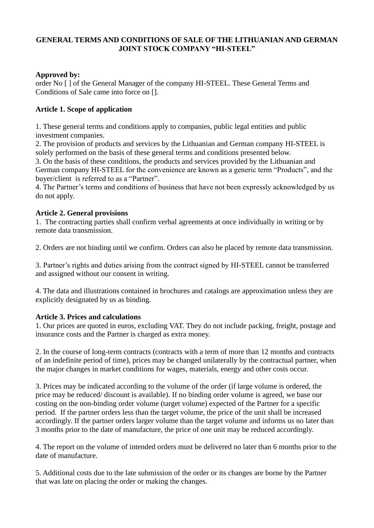## **GENERAL TERMS AND CONDITIONS OF SALE OF THE LITHUANIAN AND GERMAN JOINT STOCK COMPANY "HI-STEEL"**

### **Approved by:**

order No [ ] of the General Manager of the company HI-STEEL. These General Terms and Conditions of Sale came into force on [].

# **Article 1. Scope of application**

1. These general terms and conditions apply to companies, public legal entities and public investment companies.

2. The provision of products and services by the Lithuanian and German company HI-STEEL is solely performed on the basis of these general terms and conditions presented below.

3. On the basis of these conditions, the products and services provided by the Lithuanian and German company HI-STEEL for the convenience are known as a generic term "Products", and the buyer/client is referred to as a "Partner".

4. The Partner's terms and conditions of business that have not been expressly acknowledged by us do not apply.

### **Article 2. General provisions**

1. The contracting parties shall confirm verbal agreements at once individually in writing or by remote data transmission.

2. Orders are not binding until we confirm. Orders can also be placed by remote data transmission.

3. Partner's rights and duties arising from the contract signed by HI-STEEL cannot be transferred and assigned without our consent in writing.

4. The data and illustrations contained in brochures and catalogs are approximation unless they are explicitly designated by us as binding.

### **Article 3. Prices and calculations**

1. Our prices are quoted in euros, excluding VAT. They do not include packing, freight, postage and insurance costs and the Partner is charged as extra money.

2. In the course of long-term contracts (contracts with a term of more than 12 months and contracts of an indefinite period of time), prices may be changed unilaterally by the contractual partner, when the major changes in market conditions for wages, materials, energy and other costs occur.

3. Prices may be indicated according to the volume of the order (if large volume is ordered, the price may be reduced/ discount is available). If no binding order volume is agreed, we base our costing on the non-binding order volume (target volume) expected of the Partner for a specific period. If the partner orders less than the target volume, the price of the unit shall be increased accordingly. If the partner orders larger volume than the target volume and informs us no later than 3 months prior to the date of manufacture, the price of one unit may be reduced accordingly.

4. The report on the volume of intended orders must be delivered no later than 6 months prior to the date of manufacture.

5. Additional costs due to the late submission of the order or its changes are borne by the Partner that was late on placing the order or making the changes.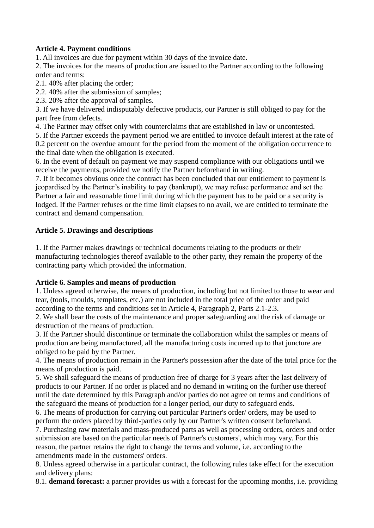### **Article 4. Payment conditions**

1. All invoices are due for payment within 30 days of the invoice date.

2. The invoices for the means of production are issued to the Partner according to the following order and terms:

2.1. 40% after placing the order;

2.2. 40% after the submission of samples;

2.3. 20% after the approval of samples.

3. If we have delivered indisputably defective products, our Partner is still obliged to pay for the part free from defects.

4. The Partner may offset only with counterclaims that are established in law or uncontested.

5. If the Partner exceeds the payment period we are entitled to invoice default interest at the rate of 0.2 percent on the overdue amount for the period from the moment of the obligation occurrence to the final date when the obligation is executed.

6. In the event of default on payment we may suspend compliance with our obligations until we receive the payments, provided we notify the Partner beforehand in writing.

7. If it becomes obvious once the contract has been concluded that our entitlement to payment is jeopardised by the Partner's inability to pay (bankrupt), we may refuse performance and set the Partner a fair and reasonable time limit during which the payment has to be paid or a security is lodged. If the Partner refuses or the time limit elapses to no avail, we are entitled to terminate the contract and demand compensation.

### **Article 5. Drawings and descriptions**

1. If the Partner makes drawings or technical documents relating to the products or their manufacturing technologies thereof available to the other party, they remain the property of the contracting party which provided the information.

#### **Article 6. Samples and means of production**

1. Unless agreed otherwise, the means of production, including but not limited to those to wear and tear, (tools, moulds, templates, etc.) are not included in the total price of the order and paid according to the terms and conditions set in Article 4, Paragraph 2, Parts 2.1-2.3.

2. We shall bear the costs of the maintenance and proper safeguarding and the risk of damage or destruction of the means of production.

3. If the Partner should discontinue or terminate the collaboration whilst the samples or means of production are being manufactured, all the manufacturing costs incurred up to that juncture are obliged to be paid by the Partner.

4. The means of production remain in the Partner's possession after the date of the total price for the means of production is paid.

5. We shall safeguard the means of production free of charge for 3 years after the last delivery of products to our Partner. If no order is placed and no demand in writing on the further use thereof until the date determined by this Paragraph and/or parties do not agree on terms and conditions of the safeguard the means of production for a longer period, our duty to safeguard ends.

6. The means of production for carrying out particular Partner's order/ orders, may be used to perform the orders placed by third-parties only by our Partner's written consent beforehand.

7. Purchasing raw materials and mass-produced parts as well as processing orders, orders and order submission are based on the particular needs of Partner's customers', which may vary. For this reason, the partner retains the right to change the terms and volume, i.e. according to the amendments made in the customers' orders.

8. Unless agreed otherwise in a particular contract, the following rules take effect for the execution and delivery plans:

8.1. **demand forecast:** a partner provides us with a forecast for the upcoming months, i.e. providing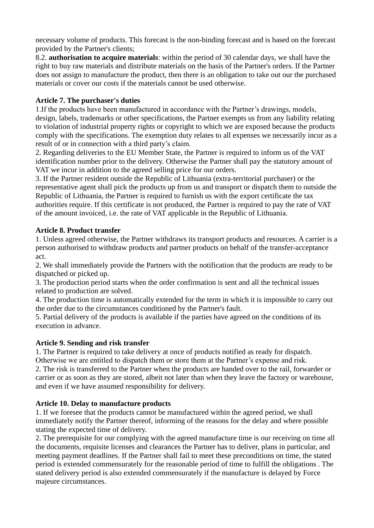necessary volume of products. This forecast is the non-binding forecast and is based on the forecast provided by the Partner's clients;

8.2. **authorisation to acquire materials**: within the period of 30 calendar days, we shall have the right to buy raw materials and distribute materials on the basis of the Partner's orders. If the Partner does not assign to manufacture the product, then there is an obligation to take out our the purchased materials or cover our costs if the materials cannot be used otherwise.

# **Article 7. The purchaser's duties**

1.If the products have been manufactured in accordance with the Partner's drawings, models, design, labels, trademarks or other specifications, the Partner exempts us from any liability relating to violation of industrial property rights or copyright to which we are exposed because the products comply with the specifications. The exemption duty relates to all expenses we necessarily incur as a result of or in connection with a third party's claim.

2. Regarding deliveries to the EU Member State, the Partner is required to inform us of the VAT identification number prior to the delivery. Otherwise the Partner shall pay the statutory amount of VAT we incur in addition to the agreed selling price for our orders.

3. If the Partner resident outside the Republic of Lithuania (extra-territorial purchaser) or the representative agent shall pick the products up from us and transport or dispatch them to outside the Republic of Lithuania, the Partner is required to furnish us with the export certificate the tax authorities require. If this certificate is not produced, the Partner is required to pay the rate of VAT of the amount invoiced, i.e. the rate of VAT applicable in the Republic of Lithuania.

# **Article 8. Product transfer**

1. Unless agreed otherwise, the Partner withdraws its transport products and resources. A carrier is a person authorised to withdraw products and partner products on behalf of the transfer-acceptance act.

2. We shall immediately provide the Partners with the notification that the products are ready to be dispatched or picked up.

3. The production period starts when the order confirmation is sent and all the technical issues related to production are solved.

4. The production time is automatically extended for the term in which it is impossible to carry out the order due to the circumstances conditioned by the Partner's fault.

5. Partial delivery of the products is available if the parties have agreed on the conditions of its execution in advance.

### **Article 9. Sending and risk transfer**

1. The Partner is required to take delivery at once of products notified as ready for dispatch. Otherwise we are entitled to dispatch them or store them at the Partner's expense and risk.

2. The risk is transferred to the Partner when the products are handed over to the rail, forwarder or carrier or as soon as they are stored, albeit not later than when they leave the factory or warehouse, and even if we have assumed responsibility for delivery.

# **Article 10. Delay to manufacture products**

1. If we foresee that the products cannot be manufactured within the agreed period, we shall immediately notify the Partner thereof, informing of the reasons for the delay and where possible stating the expected time of delivery.

2. The prerequisite for our complying with the agreed manufacture time is our receiving on time all the documents, requisite licenses and clearances the Partner has to deliver, plans in particular, and meeting payment deadlines. If the Partner shall fail to meet these preconditions on time, the stated period is extended commensurately for the reasonable period of time to fulfill the obligations . The stated delivery period is also extended commensurately if the manufacture is delayed by Force majeure circumstances.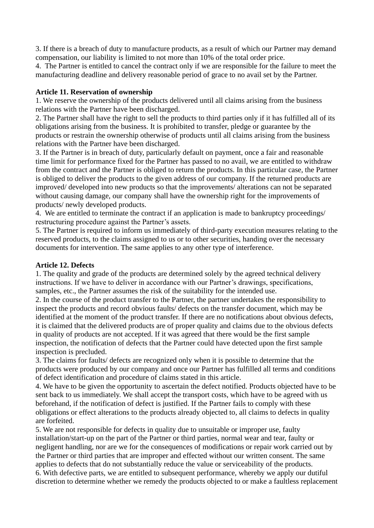3. If there is a breach of duty to manufacture products, as a result of which our Partner may demand compensation, our liability is limited to not more than 10% of the total order price.

4. The Partner is entitled to cancel the contract only if we are responsible for the failure to meet the manufacturing deadline and delivery reasonable period of grace to no avail set by the Partner.

#### **Article 11. Reservation of ownership**

1. We reserve the ownership of the products delivered until all claims arising from the business relations with the Partner have been discharged.

2. The Partner shall have the right to sell the products to third parties only if it has fulfilled all of its obligations arising from the business. It is prohibited to transfer, pledge or guarantee by the products or restrain the ownership otherwise of products until all claims arising from the business relations with the Partner have been discharged.

3. If the Partner is in breach of duty, particularly default on payment, once a fair and reasonable time limit for performance fixed for the Partner has passed to no avail, we are entitled to withdraw from the contract and the Partner is obliged to return the products. In this particular case, the Partner is obliged to deliver the products to the given address of our company. If the returned products are improved/ developed into new products so that the improvements/ alterations can not be separated without causing damage, our company shall have the ownership right for the improvements of products/ newly developed products.

4. We are entitled to terminate the contract if an application is made to bankruptcy proceedings/ restructuring procedure against the Partner's assets.

5. The Partner is required to inform us immediately of third-party execution measures relating to the reserved products, to the claims assigned to us or to other securities, handing over the necessary documents for intervention. The same applies to any other type of interference.

#### **Article 12. Defects**

1. The quality and grade of the products are determined solely by the agreed technical delivery instructions. If we have to deliver in accordance with our Partner's drawings, specifications, samples, etc., the Partner assumes the risk of the suitability for the intended use.

2. In the course of the product transfer to the Partner, the partner undertakes the responsibility to inspect the products and record obvious faults/ defects on the transfer document, which may be identified at the moment of the product transfer. If there are no notifications about obvious defects, it is claimed that the delivered products are of proper quality and claims due to the obvious defects in quality of products are not accepted. If it was agreed that there would be the first sample inspection, the notification of defects that the Partner could have detected upon the first sample inspection is precluded.

3. The claims for faults/ defects are recognized only when it is possible to determine that the products were produced by our company and once our Partner has fulfilled all terms and conditions of defect identification and procedure of claims stated in this article.

4. We have to be given the opportunity to ascertain the defect notified. Products objected have to be sent back to us immediately. We shall accept the transport costs, which have to be agreed with us beforehand, if the notification of defect is justified. If the Partner fails to comply with these obligations or effect alterations to the products already objected to, all claims to defects in quality are forfeited.

5. We are not responsible for defects in quality due to unsuitable or improper use, faulty installation/start-up on the part of the Partner or third parties, normal wear and tear, faulty or negligent handling, nor are we for the consequences of modifications or repair work carried out by the Partner or third parties that are improper and effected without our written consent. The same applies to defects that do not substantially reduce the value or serviceability of the products. 6. With defective parts, we are entitled to subsequent performance, whereby we apply our dutiful discretion to determine whether we remedy the products objected to or make a faultless replacement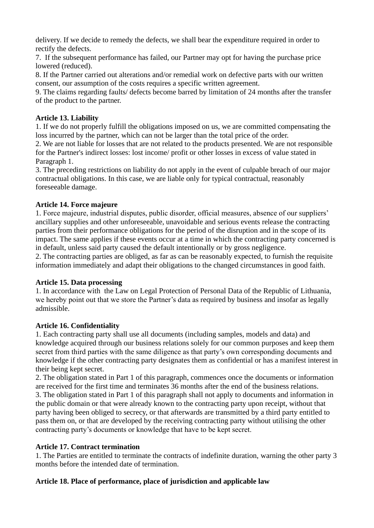delivery. If we decide to remedy the defects, we shall bear the expenditure required in order to rectify the defects.

7. If the subsequent performance has failed, our Partner may opt for having the purchase price lowered (reduced).

8. If the Partner carried out alterations and/or remedial work on defective parts with our written consent, our assumption of the costs requires a specific written agreement.

9. The claims regarding faults/ defects become barred by limitation of 24 months after the transfer of the product to the partner.

# **Article 13. Liability**

1. If we do not properly fulfill the obligations imposed on us, we are committed compensating the loss incurred by the partner, which can not be larger than the total price of the order.

2. We are not liable for losses that are not related to the products presented. We are not responsible for the Partner's indirect losses: lost income/ profit or other losses in excess of value stated in Paragraph 1.

3. The preceding restrictions on liability do not apply in the event of culpable breach of our major contractual obligations. In this case, we are liable only for typical contractual, reasonably foreseeable damage.

# **Article 14. Force majeure**

1. Force majeure, industrial disputes, public disorder, official measures, absence of our suppliers' ancillary supplies and other unforeseeable, unavoidable and serious events release the contracting parties from their performance obligations for the period of the disruption and in the scope of its impact. The same applies if these events occur at a time in which the contracting party concerned is in default, unless said party caused the default intentionally or by gross negligence.

2. The contracting parties are obliged, as far as can be reasonably expected, to furnish the requisite information immediately and adapt their obligations to the changed circumstances in good faith.

### **Article 15. Data processing**

1. In accordance with the Law on Legal Protection of Personal Data of the Republic of Lithuania, we hereby point out that we store the Partner's data as required by business and insofar as legally admissible.

### **Article 16. Confidentiality**

1. Each contracting party shall use all documents (including samples, models and data) and knowledge acquired through our business relations solely for our common purposes and keep them secret from third parties with the same diligence as that party's own corresponding documents and knowledge if the other contracting party designates them as confidential or has a manifest interest in their being kept secret.

2. The obligation stated in Part 1 of this paragraph, commences once the documents or information are received for the first time and terminates 36 months after the end of the business relations. 3. The obligation stated in Part 1 of this paragraph shall not apply to documents and information in the public domain or that were already known to the contracting party upon receipt, without that party having been obliged to secrecy, or that afterwards are transmitted by a third party entitled to pass them on, or that are developed by the receiving contracting party without utilising the other contracting party's documents or knowledge that have to be kept secret.

# **Article 17. Contract termination**

1. The Parties are entitled to terminate the contracts of indefinite duration, warning the other party 3 months before the intended date of termination.

# **Article 18. Place of performance, place of jurisdiction and applicable law**